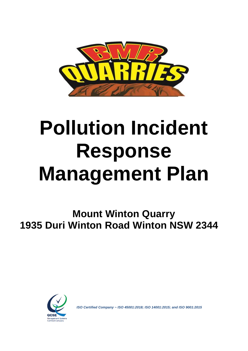

# **Pollution Incident Response Management Plan**

**Mount Winton Quarry 1935 Duri Winton Road Winton NSW 2344**



*ISO Certified Company ~ ISO 45001:2018; ISO 14001:2015; and ISO 9001:2015*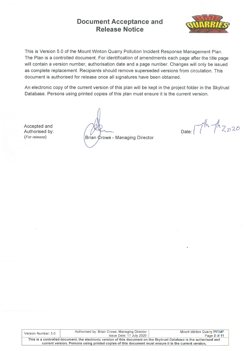## **Document Acceptance and Release Notice**



This is Version 5.0 of the Mount Winton Quarry Pollution Incident Response Management Plan. The Plan is a controlled document. For identification of amendments each page after the title page will contain a version number, authorisation date and a page number. Changes will only be issued as complete replacement. Recipients should remove superseded versions from circulation. This document is authorised for release once all signatures have been obtained.

An electronic copy of the current version of this plan will be kept in the project folder in the Skytrust Database. Persons using printed copies of this plan must ensure it is the current version.

Accepted and Authorised by: (For release)

Brian Crowe - Managing Director

Date:  $7^{th}7^{th}$   $2020$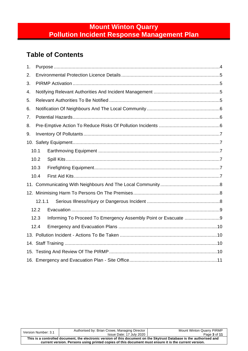## **Mount Winton Quarry Pollution Incident Response Management Plan**

# **Table of Contents**

| 1. |        |  |
|----|--------|--|
| 2. |        |  |
| 3. |        |  |
| 4. |        |  |
| 5. |        |  |
| 6. |        |  |
| 7. |        |  |
| 8. |        |  |
| 9. |        |  |
|    |        |  |
|    | 10.1   |  |
|    | 10.2   |  |
|    | 10.3   |  |
|    | 10.4   |  |
|    |        |  |
|    |        |  |
|    | 12.1.1 |  |
|    | 12.2   |  |
|    | 12.3   |  |
|    | 12.4   |  |
|    |        |  |
|    |        |  |
|    |        |  |
|    |        |  |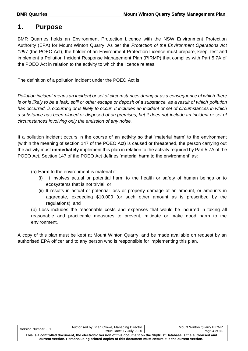## <span id="page-3-0"></span>**1. Purpose**

BMR Quarries holds an Environment Protection Licence with the NSW Environment Protection Authority (EPA) for Mount Winton Quarry. As per the *Protection of the Environment Operations Act 1997* (the POEO Act), the holder of an Environment Protection Licence must prepare, keep, test and implement a Pollution Incident Response Management Plan (PIRMP) that complies with Part 5.7A of the POEO Act in relation to the activity to which the licence relates.

The definition of a pollution incident under the POEO Act is:

*Pollution incident means an incident or set of circumstances during or as a consequence of which there is or is likely to be a leak, spill or other escape or deposit of a substance, as a result of which pollution has occurred, is occurring or is likely to occur. It includes an incident or set of circumstances in which a substance has been placed or disposed of on premises, but it does not include an incident or set of circumstances involving only the emission of any noise.*

If a pollution incident occurs in the course of an activity so that 'material harm' to the environment (within the meaning of section 147 of the POEO Act) is caused or threatened, the person carrying out the activity must **immediately** implement this plan in relation to the activity required by Part 5.7A of the POEO Act. Section 147 of the POEO Act defines 'material harm to the environment' as:

- (a) Harm to the environment is material if:
	- (i) It involves actual or potential harm to the health or safety of human beings or to ecosystems that is not trivial, or
	- (ii) It results in actual or potential loss or property damage of an amount, or amounts in aggregate, exceeding \$10,000 (or such other amount as is prescribed by the regulations), and

(b) Loss includes the reasonable costs and expenses that would be incurred in taking all reasonable and practicable measures to prevent, mitigate or make good harm to the environment.

A copy of this plan must be kept at Mount Winton Quarry, and be made available on request by an authorised EPA officer and to any person who is responsible for implementing this plan.

| Version Number: 3.1                                                                                                   | Authorised by Brian Crowe, Managing Director | <b>Mount Winton Quarry PIRMP</b> |
|-----------------------------------------------------------------------------------------------------------------------|----------------------------------------------|----------------------------------|
|                                                                                                                       | Issue Date: 17 July 2020 I                   | Page 4 of 11                     |
| This is a controlled document, the electronic version of this document on the Skytrust Database is the authorised and |                                              |                                  |
| current version. Persons using printed copies of this document must ensure it is the current version.                 |                                              |                                  |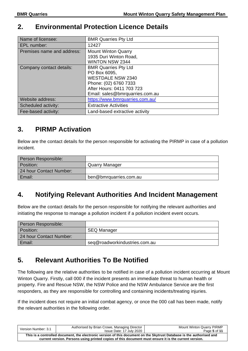## <span id="page-4-0"></span>**2. Environmental Protection Licence Details**

| Name of licensee:          | <b>BMR Quarries Pty Ltd</b>     |
|----------------------------|---------------------------------|
| EPL number:                | 12427                           |
| Premises name and address: | <b>Mount Winton Quarry</b>      |
|                            | 1935 Duri Winton Road,          |
|                            | <b>WINTON NSW 2344</b>          |
| Company contact details:   | <b>BMR Quarries Pty Ltd</b>     |
|                            | PO Box 6095,                    |
|                            | <b>WESTDALE NSW 2340</b>        |
|                            | Phone: (02) 6760 7333           |
|                            | After Hours: 0411 703 723       |
|                            | Email: sales@bmrquarries.com.au |
| Website address:           | https://www.bmrquarries.com.au/ |
| Scheduled activity:        | <b>Extractive Activities</b>    |
| Fee-based activity:        | Land-based extractive activity  |

# <span id="page-4-1"></span>**3. PIRMP Activation**

Below are the contact details for the person responsible for activating the PIRMP in case of a pollution incident.

| Person Responsible:     |                        |
|-------------------------|------------------------|
| Position:               | <b>Quarry Manager</b>  |
| 24 hour Contact Number: |                        |
| Email:                  | ben@bmrquarries.com.au |

# <span id="page-4-2"></span>**4. Notifying Relevant Authorities And Incident Management**

Below are the contact details for the person responsible for notifying the relevant authorities and initiating the response to manage a pollution incident if a pollution incident event occurs.

| Person Responsible:     |                               |
|-------------------------|-------------------------------|
| Position:               | <b>SEQ Manager</b>            |
| 24 hour Contact Number: |                               |
| Email:                  | seg@roadworkindustries.com.au |

# <span id="page-4-3"></span>**5. Relevant Authorities To Be Notified**

The following are the relative authorities to be notified in case of a pollution incident occurring at Mount Winton Quarry. Firstly, call 000 if the incident presents an immediate threat to human health or property. Fire and Rescue NSW, the NSW Police and the NSW Ambulance Service are the first responders, as they are responsible for controlling and containing incidents/treating injuries.

If the incident does not require an initial combat agency, or once the 000 call has been made, notify the relevant authorities in the following order.

| Version Number: 3.1                                                                                                                                                                                                            | Authorised by Brian Crowe, Managing Director | <b>Mount Winton Quarry PIRMP</b> |  |
|--------------------------------------------------------------------------------------------------------------------------------------------------------------------------------------------------------------------------------|----------------------------------------------|----------------------------------|--|
|                                                                                                                                                                                                                                | Issue Date: 17 July 2020                     | Page 5 of 11                     |  |
| This is a controlled document, the electronic version of this document on the Skytrust Database is the authorised and<br>current version. Persons using printed copies of this document must ensure it is the current version. |                                              |                                  |  |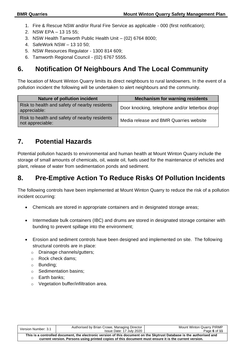- 1. Fire & Rescue NSW and/or Rural Fire Service as applicable 000 (first notification);
- 2. NSW EPA 13 15 55;
- 3. NSW Health Tamworth Public Health Unit (02) 6764 8000;
- 4. SafeWork NSW 13 10 50;
- 5. NSW Resources Regulator 1300 814 609;
- 6. Tamworth Regional Council (02) 6767 5555.

## <span id="page-5-0"></span>**6. Notification Of Neighbours And The Local Community**

The location of Mount Winton Quarry limits its direct neighbours to rural landowners. In the event of a pollution incident the following will be undertaken to alert neighbours and the community.

| <b>Nature of pollution incident</b>                               | <b>Mechanism for warning residents</b>         |
|-------------------------------------------------------------------|------------------------------------------------|
| Risk to health and safety of nearby residents<br>appreciable:     | Door knocking, telephone and/or letterbox drop |
| Risk to health and safety of nearby residents<br>not appreciable: | Media release and BMR Quarries website         |

## <span id="page-5-1"></span>**7. Potential Hazards**

Potential pollution hazards to environmental and human health at Mount Winton Quarry include the storage of small amounts of chemicals, oil, waste oil, fuels used for the maintenance of vehicles and plant, release of water from sedimentation ponds and sediment.

# <span id="page-5-2"></span>**8. Pre-Emptive Action To Reduce Risks Of Pollution Incidents**

The following controls have been implemented at Mount Winton Quarry to reduce the risk of a pollution incident occurring:

- Chemicals are stored in appropriate containers and in designated storage areas;
- Intermediate bulk containers (IBC) and drums are stored in designated storage container with bunding to prevent spillage into the environment;
- Erosion and sediment controls have been designed and implemented on site. The following structural controls are in place:
	- o Drainage channels/gutters;
	- o Rock check dams;
	- o Bunding;
	- o Sedimentation basins;
	- o Earth banks;
	- o Vegetation buffer/infiltration area.

| Version Number: 3.1                                                                                                   | Authorised by Brian Crowe, Managing Director | Mount Winton Quarry PIRMP |  |  |
|-----------------------------------------------------------------------------------------------------------------------|----------------------------------------------|---------------------------|--|--|
|                                                                                                                       | Issue Date: 17 July 2020                     | Page 6 of 11              |  |  |
| This is a controlled document, the electronic version of this document on the Skytrust Database is the authorised and |                                              |                           |  |  |
| current version. Persons using printed copies of this document must ensure it is the current version.                 |                                              |                           |  |  |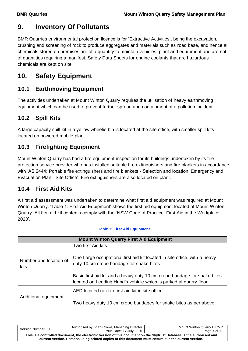## <span id="page-6-0"></span>**9. Inventory Of Pollutants**

BMR Quarries environmental protection licence is for 'Extractive Activities', being the excavation, crushing and screening of rock to produce aggregates and materials such as road base, and hence all chemicals stored on premises are of a quantity to maintain vehicles, plant and equipment and are not of quantities requiring a manifest. Safety Data Sheets for engine coolants that are hazardous chemicals are kept on site.

# <span id="page-6-1"></span>**10. Safety Equipment**

## <span id="page-6-2"></span>**10.1 Earthmoving Equipment**

The activities undertaken at Mount Winton Quarry requires the utilisation of heavy earthmoving equipment which can be used to prevent further spread and containment of a pollution incident.

## <span id="page-6-3"></span>**10.2 Spill Kits**

A large capacity spill kit in a yellow wheelie bin is located at the site office, with smaller spill kits located on powered mobile plant.

## <span id="page-6-4"></span>**10.3 Firefighting Equipment**

Mount Winton Quarry has had a fire equipment inspection for its buildings undertaken by its fire protection service provider who has installed suitable fire extinguishers and fire blankets in accordance with 'AS 2444: Portable fire extinguishers and fire blankets - Selection and location 'Emergency and Evacuation Plan - Site Office'. Fire extinguishers are also located on plant.

#### <span id="page-6-5"></span>**10.4 First Aid Kits**

A first aid assessment was undertaken to determine what first aid equipment was required at Mount Winton Quarry. 'Table 1: First Aid Equipment' shows the first aid equipment located at Mount Winton Quarry. All first aid kit contents comply with the 'NSW Code of Practice: First Aid in the Workplace 2020'.

| <b>Mount Winton Quarry First Aid Equipment</b> |                                                                                                                                                |  |
|------------------------------------------------|------------------------------------------------------------------------------------------------------------------------------------------------|--|
|                                                | Two first Aid kits.                                                                                                                            |  |
| Number and location of<br>kits                 | One Large occupational first aid kit located in site office, with a heavy<br>duty 10 cm crepe bandage for snake bites.                         |  |
|                                                | Basic first aid kit and a heavy duty 10 cm crepe bandage for snake bites<br>located on Leading Hand's vehicle which is parked at quarry floor. |  |
| Additional equipment                           | AED located next to first aid kit in site office.                                                                                              |  |
|                                                | Two heavy duty 10 cm crepe bandages for snake bites as per above.                                                                              |  |

#### **Table 1: First Aid Equipment**

| Version Number: 5.0                                                                                                                                                                                                            | Authorised by Brian Crowe, Managing Director<br>Issue Date: 17 July 2020 | <b>Mount Winton Quarry PIRMP</b><br>Page 7 of 11 |  |
|--------------------------------------------------------------------------------------------------------------------------------------------------------------------------------------------------------------------------------|--------------------------------------------------------------------------|--------------------------------------------------|--|
| This is a controlled document, the electronic version of this document on the Skytrust Database is the authorised and<br>current version. Persons using printed copies of this document must ensure it is the current version. |                                                                          |                                                  |  |
|                                                                                                                                                                                                                                |                                                                          |                                                  |  |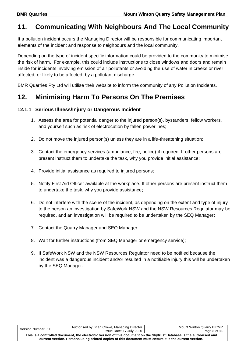## <span id="page-7-0"></span>**11. Communicating With Neighbours And The Local Community**

If a pollution incident occurs the Managing Director will be responsible for communicating important elements of the incident and response to neighbours and the local community.

Depending on the type of incident specific information could be provided to the community to minimise the risk of harm. For example, this could include instructions to close windows and doors and remain inside for incidents involving emission of air pollutants or avoiding the use of water in creeks or river affected, or likely to be affected, by a pollutant discharge.

BMR Quarries Pty Ltd will utilise their website to inform the community of any Pollution Incidents.

# <span id="page-7-1"></span>**12. Minimising Harm To Persons On The Premises**

#### <span id="page-7-2"></span>**12.1.1 Serious Illness/Injury or Dangerous Incident**

- 1. Assess the area for potential danger to the injured person(s), bystanders, fellow workers, and yourself such as risk of electrocution by fallen powerlines;
- 2. Do not move the injured person(s) unless they are in a life-threatening situation;
- 3. Contact the emergency services (ambulance, fire, police) if required. If other persons are present instruct them to undertake the task, why you provide initial assistance;
- 4. Provide initial assistance as required to injured persons;
- 5. Notify First Aid Officer available at the workplace. If other persons are present instruct them to undertake the task, why you provide assistance;
- 6. Do not interfere with the scene of the incident, as depending on the extent and type of injury to the person an investigation by SafeWork NSW and the NSW Resources Regulator may be required, and an investigation will be required to be undertaken by the SEQ Manager;
- 7. Contact the Quarry Manager and SEQ Manager;
- 8. Wait for further instructions (from SEQ Manager or emergency service);
- 9. If SafeWork NSW and the NSW Resources Regulator need to be notified because the incident was a dangerous incident and/or resulted in a notifiable injury this will be undertaken by the SEQ Manager.

| Version Number: 5.0                                                                                                   | Authorised by Brian Crowe, Managing Director | Mount Winton Quarry PIRMP |  |
|-----------------------------------------------------------------------------------------------------------------------|----------------------------------------------|---------------------------|--|
|                                                                                                                       | Issue Date: 17 July 2020                     | Page 8 of 11              |  |
| This is a controlled document, the electronic version of this document on the Skytrust Database is the authorised and |                                              |                           |  |
| current version. Persons using printed copies of this document must ensure it is the current version.                 |                                              |                           |  |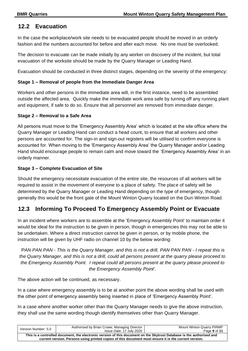#### <span id="page-8-0"></span>**12.2 Evacuation**

In the case the workplace/work site needs to be evacuated people should be moved in an orderly fashion and the numbers accounted for before and after each move. No one must be overlooked.

The decision to evacuate can be made initially by any worker on discovery of the incident, but total evacuation of the worksite should be made by the Quarry Manager or Leading Hand.

Evacuation should be conducted in three distinct stages, depending on the severity of the emergency:

#### **Stage 1 – Removal of people from the Immediate Danger Area**

Workers and other persons in the immediate area will, in the first instance, need to be assembled outside the affected area. Quickly make the immediate work area safe by turning off any running plant and equipment, if safe to do so. Ensure that all personnel are removed from immediate danger.

#### **Stage 2 – Removal to a Safe Area**

All persons must move to the 'Emergency Assembly Area' which is located at the site office where the Quarry Manager or Leading Hand can conduct a head count, to ensure that all workers and other persons are accounted for. The sign-in and sign-out registers will be utilised to confirm everyone is accounted for. When moving to the 'Emergency Assembly Area' the Quarry Manager and/or Leading Hand should encourage people to remain calm and move toward the 'Emergency Assembly Area' in an orderly manner.

#### **Stage 3 – Complete Evacuation of Site**

Should the emergency necessitate evacuation of the entire site, the resources of all workers will be required to assist in the movement of everyone to a place of safety. The place of safety will be determined by the Quarry Manager or Leading Hand depending on the type of emergency, though generally this would be the front gate of the Mount Winton Quarry located on the Duri-Winton Road.

#### <span id="page-8-1"></span>**12.3 Informing To Proceed To Emergency Assembly Point or Evacuate**

In an incident where workers are to assemble at the 'Emergency Assembly Point' to maintain order it would be ideal for the instruction to be given in person, though in emergencies this may not be able to be undertaken. Where a direct instruction cannot be given in person, or by mobile phone, the instruction will be given by UHF radio on channel 10 by the below wording:

*'PAN PAN PAN - This is the Quarry Manager, and this is not a drill, PAN PAN PAN - I repeat this is the Quarry Manager, and this is not a drill, could all persons present at the quarry please proceed to the Emergency Assembly Point. I repeat could all persons present at the quarry please proceed to the Emergency Assembly Point'.*

The above action will be continued, as necessary.

In a case where emergency assembly is to be at another point the above wording shall be used with the other point of emergency assembly being inserted in place of 'Emergency Assembly Point'.

In a case where another worker other than the Quarry Manager needs to give the above instruction, they shall use the same wording though identify themselves other than Quarry Manager.

| Version Number: 5.0                                                                                                                                                                                                            | Authorised by Brian Crowe, Managing Director | <b>Mount Winton Quarry PIRMP</b> |  |
|--------------------------------------------------------------------------------------------------------------------------------------------------------------------------------------------------------------------------------|----------------------------------------------|----------------------------------|--|
|                                                                                                                                                                                                                                | Issue Date: 17 July 2020                     | Page 9 of 11                     |  |
| This is a controlled document, the electronic version of this document on the Skytrust Database is the authorised and<br>current version. Persons using printed copies of this document must ensure it is the current version. |                                              |                                  |  |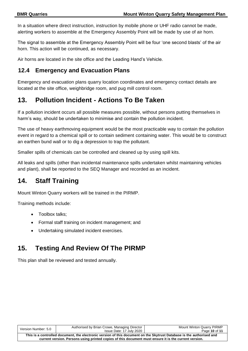In a situation where direct instruction, instruction by mobile phone or UHF radio cannot be made, alerting workers to assemble at the Emergency Assembly Point will be made by use of air horn.

The signal to assemble at the Emergency Assembly Point will be four 'one second blasts' of the air horn. This action will be continued, as necessary.

Air horns are located in the site office and the Leading Hand's Vehicle.

#### <span id="page-9-0"></span>**12.4 Emergency and Evacuation Plans**

Emergency and evacuation plans quarry location coordinates and emergency contact details are located at the site office, weighbridge room, and pug mill control room.

# <span id="page-9-1"></span>**13. Pollution Incident - Actions To Be Taken**

If a pollution incident occurs all possible measures possible, without persons putting themselves in harm's way, should be undertaken to minimise and contain the pollution incident.

The use of heavy earthmoving equipment would be the most practicable way to contain the pollution event in regard to a chemical spill or to contain sediment containing water. This would be to construct an earthen bund wall or to dig a depression to trap the pollutant.

Smaller spills of chemicals can be controlled and cleaned up by using spill kits.

All leaks and spills (other than incidental maintenance spills undertaken whilst maintaining vehicles and plant), shall be reported to the SEQ Manager and recorded as an incident.

# <span id="page-9-2"></span>**14. Staff Training**

Mount Winton Quarry workers will be trained in the PIRMP.

Training methods include:

- Toolbox talks;
- Formal staff training on incident management; and
- Undertaking simulated incident exercises.

## <span id="page-9-3"></span>**15. Testing And Review Of The PIRMP**

This plan shall be reviewed and tested annually.

| Version Number: 5.0                                                                                                   | Authorised by Brian Crowe, Managing Director | Mount Winton Quarry PIRMP |
|-----------------------------------------------------------------------------------------------------------------------|----------------------------------------------|---------------------------|
|                                                                                                                       | Issue Date: 17 July 2020                     | Page 10 of 11             |
| This is a controlled document, the electronic version of this document on the Skytrust Database is the authorised and |                                              |                           |
| current version. Persons using printed copies of this document must ensure it is the current version.                 |                                              |                           |